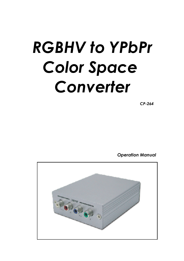# *RGBHV to YPbPr Color Space Converter*

*CP-264*

*Operation Manual*

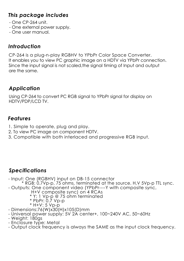#### *This package includes*

- $-$  One CP-264 unit.
- One external power supply.
- One user manual.

#### *Introduction*

CP-264 is a plug-n-play RGBHV to YPbPr Color Space Converter. It enables you to view PC graphic image on a HDTV via YPbPr connection. Since the input signal is not scaled,the signal timing of Input and output are the same.

# *Application*

Using CP-264 to convert PC RGB signal to YPbPr signal for display on HDTV/PDP/LCD TV.

## *Features*

- 1. Simple to operate, plug and play.
- 2. To view PC image on component HDTV.
- 3. Compatible with both interlaced and progressive RGB input.

## *Specifications*

- Input: One (RGBHV) input on DB-15 connector
- \* RGB: 0.7Vp-p, 75 ohms, terminated at the source. H,V 5Vp-p TTL sync. - Outputs: One component video (YPbPr----Y with composite sync,
	- H+V composite sync) on 4 RCAs
	- \* Y: 1 Vp-p @ 75 ohm terminated
	- \* PbPr: 0.7 Vp-p \* H+V: <sup>5</sup> Vp-p
	-
- Dimensions:76(W)x30(H)x105(D)mm
- Universal power supply: 5V 2A center+, 100~240V AC, 50~60Hz
- Weight: 180gs
- Enclosure type: Metal
- Output clock frequency is always the SAME as the input clock frequency.